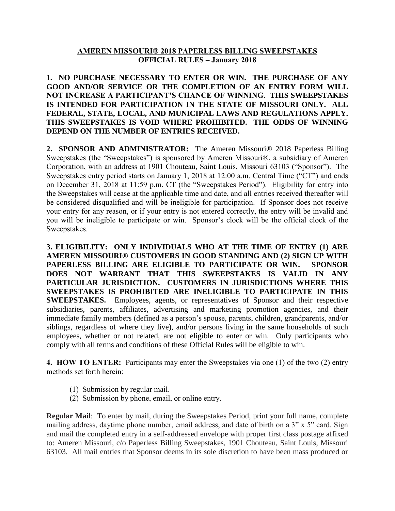## **AMEREN MISSOURI® 2018 PAPERLESS BILLING SWEEPSTAKES OFFICIAL RULES – January 2018**

**1. NO PURCHASE NECESSARY TO ENTER OR WIN. THE PURCHASE OF ANY GOOD AND/OR SERVICE OR THE COMPLETION OF AN ENTRY FORM WILL NOT INCREASE A PARTICIPANT'S CHANCE OF WINNING**. **THIS SWEEPSTAKES IS INTENDED FOR PARTICIPATION IN THE STATE OF MISSOURI ONLY. ALL FEDERAL, STATE, LOCAL, AND MUNICIPAL LAWS AND REGULATIONS APPLY. THIS SWEEPSTAKES IS VOID WHERE PROHIBITED. THE ODDS OF WINNING DEPEND ON THE NUMBER OF ENTRIES RECEIVED.**

**2. SPONSOR AND ADMINISTRATOR:** The Ameren Missouri® 2018 Paperless Billing Sweepstakes (the "Sweepstakes") is sponsored by Ameren Missouri®, a subsidiary of Ameren Corporation, with an address at 1901 Chouteau, Saint Louis, Missouri 63103 ("Sponsor"). The Sweepstakes entry period starts on January 1, 2018 at 12:00 a.m. Central Time ("CT") and ends on December 31, 2018 at 11:59 p.m. CT (the "Sweepstakes Period"). Eligibility for entry into the Sweepstakes will cease at the applicable time and date, and all entries received thereafter will be considered disqualified and will be ineligible for participation. If Sponsor does not receive your entry for any reason, or if your entry is not entered correctly, the entry will be invalid and you will be ineligible to participate or win. Sponsor's clock will be the official clock of the Sweepstakes.

**3. ELIGIBILITY: ONLY INDIVIDUALS WHO AT THE TIME OF ENTRY (1) ARE AMEREN MISSOURI® CUSTOMERS IN GOOD STANDING AND (2) SIGN UP WITH PAPERLESS BILLING ARE ELIGIBLE TO PARTICIPATE OR WIN. SPONSOR DOES NOT WARRANT THAT THIS SWEEPSTAKES IS VALID IN ANY PARTICULAR JURISDICTION. CUSTOMERS IN JURISDICTIONS WHERE THIS SWEEPSTAKES IS PROHIBITED ARE INELIGIBLE TO PARTICIPATE IN THIS SWEEPSTAKES.** Employees, agents, or representatives of Sponsor and their respective subsidiaries, parents, affiliates, advertising and marketing promotion agencies, and their immediate family members (defined as a person's spouse, parents, children, grandparents, and/or siblings, regardless of where they live), and/or persons living in the same households of such employees, whether or not related, are not eligible to enter or win. Only participants who comply with all terms and conditions of these Official Rules will be eligible to win.

**4. HOW TO ENTER:** Participants may enter the Sweepstakes via one (1) of the two (2) entry methods set forth herein:

- (1) Submission by regular mail.
- (2) Submission by phone, email, or online entry.

**Regular Mail**: To enter by mail, during the Sweepstakes Period, print your full name, complete mailing address, daytime phone number, email address, and date of birth on a 3" x 5" card. Sign and mail the completed entry in a self-addressed envelope with proper first class postage affixed to: Ameren Missouri, c/o Paperless Billing Sweepstakes, 1901 Chouteau, Saint Louis, Missouri 63103. All mail entries that Sponsor deems in its sole discretion to have been mass produced or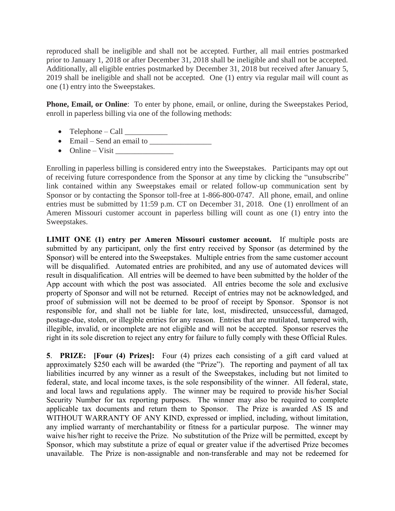reproduced shall be ineligible and shall not be accepted. Further, all mail entries postmarked prior to January 1, 2018 or after December 31, 2018 shall be ineligible and shall not be accepted. Additionally, all eligible entries postmarked by December 31, 2018 but received after January 5, 2019 shall be ineligible and shall not be accepted. One (1) entry via regular mail will count as one (1) entry into the Sweepstakes.

**Phone, Email, or Online**: To enter by phone, email, or online, during the Sweepstakes Period, enroll in paperless billing via one of the following methods:

- Telephone Call  $\frac{1}{\sqrt{1-\frac{1}{2}}}\$
- Email Send an email to \_\_\_\_\_\_\_\_\_\_\_\_\_\_\_\_
- $\bullet$  Online Visit

Enrolling in paperless billing is considered entry into the Sweepstakes. Participants may opt out of receiving future correspondence from the Sponsor at any time by clicking the "unsubscribe" link contained within any Sweepstakes email or related follow-up communication sent by Sponsor or by contacting the Sponsor toll-free at 1-866-800-0747. All phone, email, and online entries must be submitted by 11:59 p.m. CT on December 31, 2018. One (1) enrollment of an Ameren Missouri customer account in paperless billing will count as one (1) entry into the Sweepstakes.

**LIMIT ONE (1) entry per Ameren Missouri customer account.** If multiple posts are submitted by any participant, only the first entry received by Sponsor (as determined by the Sponsor) will be entered into the Sweepstakes. Multiple entries from the same customer account will be disqualified. Automated entries are prohibited, and any use of automated devices will result in disqualification. All entries will be deemed to have been submitted by the holder of the App account with which the post was associated. All entries become the sole and exclusive property of Sponsor and will not be returned. Receipt of entries may not be acknowledged, and proof of submission will not be deemed to be proof of receipt by Sponsor. Sponsor is not responsible for, and shall not be liable for late, lost, misdirected, unsuccessful, damaged, postage-due, stolen, or illegible entries for any reason. Entries that are mutilated, tampered with, illegible, invalid, or incomplete are not eligible and will not be accepted. Sponsor reserves the right in its sole discretion to reject any entry for failure to fully comply with these Official Rules.

**5**. **PRIZE: [Four (4) Prizes]:** Four (4) prizes each consisting of a gift card valued at approximately \$250 each will be awarded (the "Prize"). The reporting and payment of all tax liabilities incurred by any winner as a result of the Sweepstakes, including but not limited to federal, state, and local income taxes, is the sole responsibility of the winner. All federal, state, and local laws and regulations apply. The winner may be required to provide his/her Social Security Number for tax reporting purposes. The winner may also be required to complete applicable tax documents and return them to Sponsor. The Prize is awarded AS IS and WITHOUT WARRANTY OF ANY KIND, expressed or implied, including, without limitation, any implied warranty of merchantability or fitness for a particular purpose. The winner may waive his/her right to receive the Prize. No substitution of the Prize will be permitted, except by Sponsor, which may substitute a prize of equal or greater value if the advertised Prize becomes unavailable. The Prize is non-assignable and non-transferable and may not be redeemed for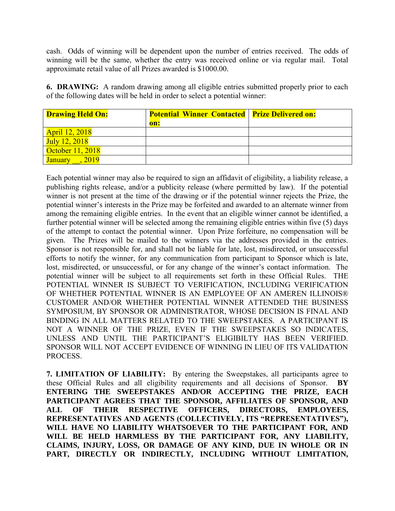cash. Odds of winning will be dependent upon the number of entries received. The odds of winning will be the same, whether the entry was received online or via regular mail. Total approximate retail value of all Prizes awarded is \$1000.00.

**6. DRAWING:** A random drawing among all eligible entries submitted properly prior to each of the following dates will be held in order to select a potential winner:

| <b>Drawing Held On:</b> | <b>Potential Winner Contacted   Prize Delivered on:</b> |  |
|-------------------------|---------------------------------------------------------|--|
|                         | on:                                                     |  |
| <b>April 12, 2018</b>   |                                                         |  |
| July 12, 2018           |                                                         |  |
| October 11, 2018        |                                                         |  |
| 2019<br><b>January</b>  |                                                         |  |

Each potential winner may also be required to sign an affidavit of eligibility, a liability release, a publishing rights release, and/or a publicity release (where permitted by law). If the potential winner is not present at the time of the drawing or if the potential winner rejects the Prize, the potential winner's interests in the Prize may be forfeited and awarded to an alternate winner from among the remaining eligible entries. In the event that an eligible winner cannot be identified, a further potential winner will be selected among the remaining eligible entries within five (5) days of the attempt to contact the potential winner. Upon Prize forfeiture, no compensation will be given. The Prizes will be mailed to the winners via the addresses provided in the entries. Sponsor is not responsible for, and shall not be liable for late, lost, misdirected, or unsuccessful efforts to notify the winner, for any communication from participant to Sponsor which is late, lost, misdirected, or unsuccessful, or for any change of the winner's contact information. The potential winner will be subject to all requirements set forth in these Official Rules. THE POTENTIAL WINNER IS SUBJECT TO VERIFICATION, INCLUDING VERIFICATION OF WHETHER POTENTIAL WINNER IS AN EMPLOYEE OF AN AMEREN ILLINOIS® CUSTOMER AND/OR WHETHER POTENTIAL WINNER ATTENDED THE BUSINESS SYMPOSIUM, BY SPONSOR OR ADMINISTRATOR, WHOSE DECISION IS FINAL AND BINDING IN ALL MATTERS RELATED TO THE SWEEPSTAKES. A PARTICIPANT IS NOT A WINNER OF THE PRIZE, EVEN IF THE SWEEPSTAKES SO INDICATES, UNLESS AND UNTIL THE PARTICIPANT'S ELIGIBILTY HAS BEEN VERIFIED. SPONSOR WILL NOT ACCEPT EVIDENCE OF WINNING IN LIEU OF ITS VALIDATION PROCESS.

**7. LIMITATION OF LIABILITY:** By entering the Sweepstakes, all participants agree to these Official Rules and all eligibility requirements and all decisions of Sponsor. **BY ENTERING THE SWEEPSTAKES AND/OR ACCEPTING THE PRIZE, EACH PARTICIPANT AGREES THAT THE SPONSOR, AFFILIATES OF SPONSOR, AND ALL OF THEIR RESPECTIVE OFFICERS, DIRECTORS, EMPLOYEES, REPRESENTATIVES AND AGENTS (COLLECTIVELY, ITS "REPRESENTATIVES"), WILL HAVE NO LIABILITY WHATSOEVER TO THE PARTICIPANT FOR, AND WILL BE HELD HARMLESS BY THE PARTICIPANT FOR, ANY LIABILITY, CLAIMS, INJURY, LOSS, OR DAMAGE OF ANY KIND, DUE IN WHOLE OR IN PART, DIRECTLY OR INDIRECTLY, INCLUDING WITHOUT LIMITATION,**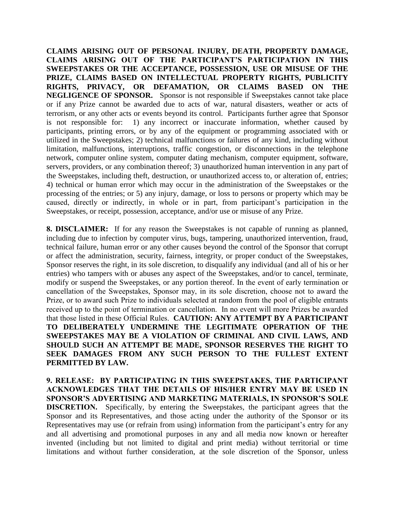**CLAIMS ARISING OUT OF PERSONAL INJURY, DEATH, PROPERTY DAMAGE, CLAIMS ARISING OUT OF THE PARTICIPANT'S PARTICIPATION IN THIS SWEEPSTAKES OR THE ACCEPTANCE, POSSESSION, USE OR MISUSE OF THE PRIZE, CLAIMS BASED ON INTELLECTUAL PROPERTY RIGHTS, PUBLICITY RIGHTS, PRIVACY, OR DEFAMATION, OR CLAIMS BASED ON THE NEGLIGENCE OF SPONSOR.** Sponsor is not responsible if Sweepstakes cannot take place or if any Prize cannot be awarded due to acts of war, natural disasters, weather or acts of terrorism, or any other acts or events beyond its control. Participants further agree that Sponsor is not responsible for: 1) any incorrect or inaccurate information, whether caused by participants, printing errors, or by any of the equipment or programming associated with or utilized in the Sweepstakes; 2) technical malfunctions or failures of any kind, including without limitation, malfunctions, interruptions, traffic congestion, or disconnections in the telephone network, computer online system, computer dating mechanism, computer equipment, software, servers, providers, or any combination thereof; 3) unauthorized human intervention in any part of the Sweepstakes, including theft, destruction, or unauthorized access to, or alteration of, entries; 4) technical or human error which may occur in the administration of the Sweepstakes or the processing of the entries; or 5) any injury, damage, or loss to persons or property which may be caused, directly or indirectly, in whole or in part, from participant's participation in the Sweepstakes, or receipt, possession, acceptance, and/or use or misuse of any Prize.

**8. DISCLAIMER:** If for any reason the Sweepstakes is not capable of running as planned, including due to infection by computer virus, bugs, tampering, unauthorized intervention, fraud, technical failure, human error or any other causes beyond the control of the Sponsor that corrupt or affect the administration, security, fairness, integrity, or proper conduct of the Sweepstakes, Sponsor reserves the right, in its sole discretion, to disqualify any individual (and all of his or her entries) who tampers with or abuses any aspect of the Sweepstakes, and/or to cancel, terminate, modify or suspend the Sweepstakes, or any portion thereof. In the event of early termination or cancellation of the Sweepstakes, Sponsor may, in its sole discretion, choose not to award the Prize, or to award such Prize to individuals selected at random from the pool of eligible entrants received up to the point of termination or cancellation. In no event will more Prizes be awarded that those listed in these Official Rules. **CAUTION: ANY ATTEMPT BY A PARTICIPANT TO DELIBERATELY UNDERMINE THE LEGITIMATE OPERATION OF THE SWEEPSTAKES MAY BE A VIOLATION OF CRIMINAL AND CIVIL LAWS, AND SHOULD SUCH AN ATTEMPT BE MADE, SPONSOR RESERVES THE RIGHT TO SEEK DAMAGES FROM ANY SUCH PERSON TO THE FULLEST EXTENT PERMITTED BY LAW.** 

**9. RELEASE: BY PARTICIPATING IN THIS SWEEPSTAKES, THE PARTICIPANT ACKNOWLEDGES THAT THE DETAILS OF HIS/HER ENTRY MAY BE USED IN SPONSOR'S ADVERTISING AND MARKETING MATERIALS, IN SPONSOR'S SOLE DISCRETION.** Specifically, by entering the Sweepstakes, the participant agrees that the Sponsor and its Representatives, and those acting under the authority of the Sponsor or its Representatives may use (or refrain from using) information from the participant's entry for any and all advertising and promotional purposes in any and all media now known or hereafter invented (including but not limited to digital and print media) without territorial or time limitations and without further consideration, at the sole discretion of the Sponsor, unless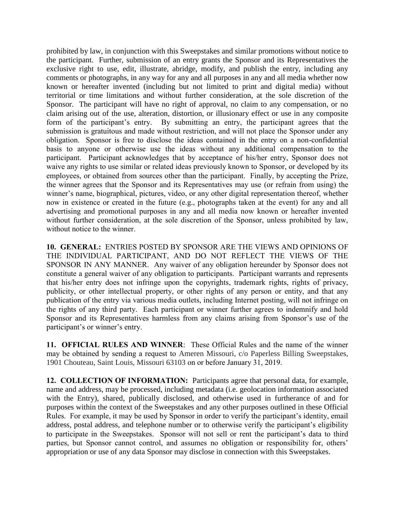prohibited by law, in conjunction with this Sweepstakes and similar promotions without notice to the participant. Further, submission of an entry grants the Sponsor and its Representatives the exclusive right to use, edit, illustrate, abridge, modify, and publish the entry, including any comments or photographs, in any way for any and all purposes in any and all media whether now known or hereafter invented (including but not limited to print and digital media) without territorial or time limitations and without further consideration, at the sole discretion of the Sponsor. The participant will have no right of approval, no claim to any compensation, or no claim arising out of the use, alteration, distortion, or illusionary effect or use in any composite form of the participant's entry. By submitting an entry, the participant agrees that the submission is gratuitous and made without restriction, and will not place the Sponsor under any obligation. Sponsor is free to disclose the ideas contained in the entry on a non-confidential basis to anyone or otherwise use the ideas without any additional compensation to the participant. Participant acknowledges that by acceptance of his/her entry, Sponsor does not waive any rights to use similar or related ideas previously known to Sponsor, or developed by its employees, or obtained from sources other than the participant. Finally, by accepting the Prize, the winner agrees that the Sponsor and its Representatives may use (or refrain from using) the winner's name, biographical, pictures, video, or any other digital representation thereof, whether now in existence or created in the future (e.g., photographs taken at the event) for any and all advertising and promotional purposes in any and all media now known or hereafter invented without further consideration, at the sole discretion of the Sponsor, unless prohibited by law, without notice to the winner.

**10. GENERAL:** ENTRIES POSTED BY SPONSOR ARE THE VIEWS AND OPINIONS OF THE INDIVIDUAL PARTICIPANT, AND DO NOT REFLECT THE VIEWS OF THE SPONSOR IN ANY MANNER. Any waiver of any obligation hereunder by Sponsor does not constitute a general waiver of any obligation to participants. Participant warrants and represents that his/her entry does not infringe upon the copyrights, trademark rights, rights of privacy, publicity, or other intellectual property, or other rights of any person or entity, and that any publication of the entry via various media outlets, including Internet posting, will not infringe on the rights of any third party. Each participant or winner further agrees to indemnify and hold Sponsor and its Representatives harmless from any claims arising from Sponsor's use of the participant's or winner's entry.

**11. OFFICIAL RULES AND WINNER**: These Official Rules and the name of the winner may be obtained by sending a request to Ameren Missouri, c/o Paperless Billing Sweepstakes, 1901 Chouteau, Saint Louis, Missouri 63103 on or before January 31, 2019.

**12. COLLECTION OF INFORMATION:** Participants agree that personal data, for example, name and address, may be processed, including metadata (i.e. geolocation information associated with the Entry), shared, publically disclosed, and otherwise used in furtherance of and for purposes within the context of the Sweepstakes and any other purposes outlined in these Official Rules. For example, it may be used by Sponsor in order to verify the participant's identity, email address, postal address, and telephone number or to otherwise verify the participant's eligibility to participate in the Sweepstakes. Sponsor will not sell or rent the participant's data to third parties, but Sponsor cannot control, and assumes no obligation or responsibility for, others' appropriation or use of any data Sponsor may disclose in connection with this Sweepstakes.